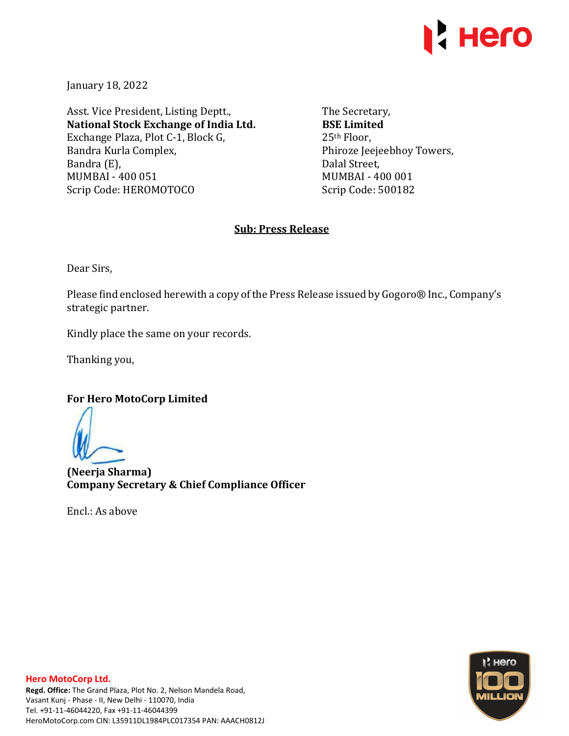

January 18, 2022

Asst. Vice President, Listing Deptt., **National Stock Exchange of India Ltd.**  Exchange Plaza, Plot C-1, Block G, Bandra Kurla Complex, Bandra (E), MUMBAI - 400 051 Scrip Code: HEROMOTOCO

The Secretary, **BSE Limited**  25th Floor, Phiroze Jeejeebhoy Towers, Dalal Street, MUMBAI - 400 001 Scrip Code: 500182

# **Sub: Press Release**

Dear Sirs,

Please find enclosed herewith a copy of the Press Release issued by Gogoro® Inc., Company's strategic partner.

Kindly place the same on your records.

Thanking you,

**For Hero MotoCorp Limited** 

**(Neerja Sharma) Company Secretary & Chief Compliance Officer** 

Encl.: As above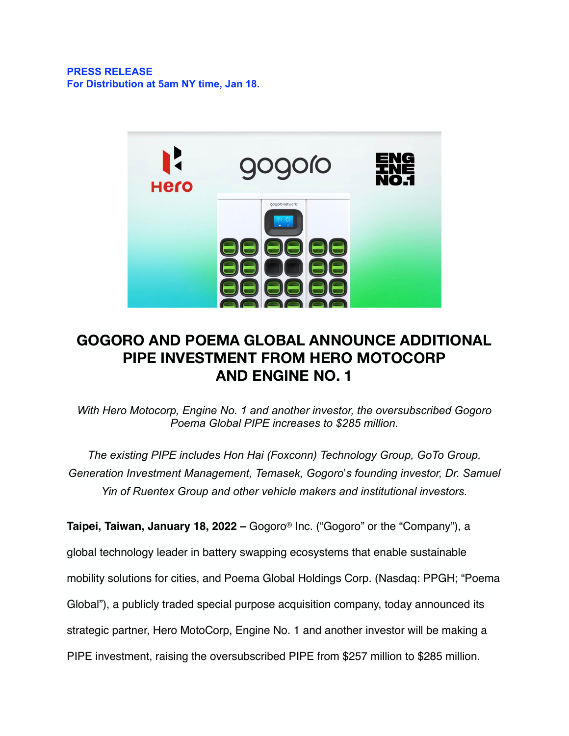# **PRESS RELEASE For Distribution at 5am NY time, Jan 18.**



# **GOGORO AND POEMA GLOBAL ANNOUNCE ADDITIONAL PIPE INVESTMENT FROM HERO MOTOCORP AND ENGINE NO. 1**

*With Hero Motocorp, Engine No. 1 and another investor, the oversubscribed Gogoro Poema Global PIPE increases to \$285 million.* 

*The existing PIPE includes Hon Hai (Foxconn) Technology Group, GoTo Group, Generation Investment Management, Temasek, Gogoro*!*s founding investor, Dr. Samuel Yin of Ruentex Group and other vehicle makers and institutional investors.* 

**Taipei, Taiwan, January 18, 2022 –** Gogoro® Inc. ("Gogoro" or the "Company"), a global technology leader in battery swapping ecosystems that enable sustainable mobility solutions for cities, and Poema Global Holdings Corp. (Nasdaq: PPGH; "Poema Global"), a publicly traded special purpose acquisition company, today announced its strategic partner, Hero MotoCorp, Engine No. 1 and another investor will be making a PIPE investment, raising the oversubscribed PIPE from \$257 million to \$285 million.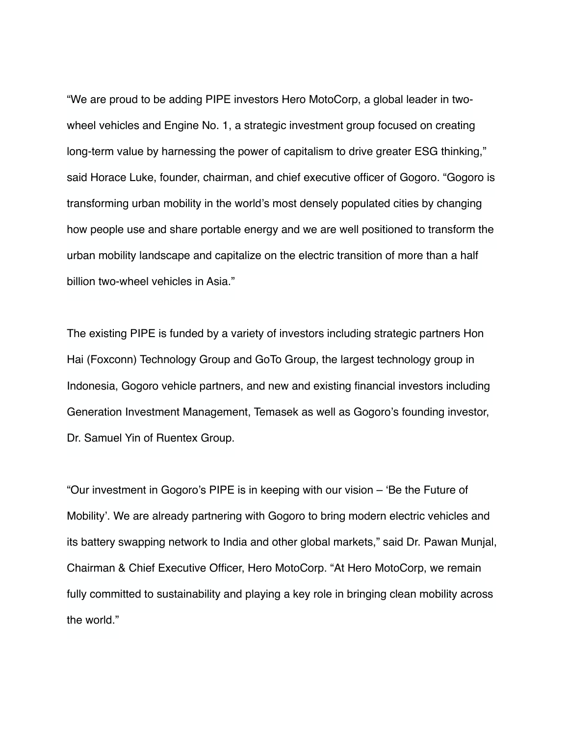"We are proud to be adding PIPE investors Hero MotoCorp, a global leader in twowheel vehicles and Engine No. 1, a strategic investment group focused on creating long-term value by harnessing the power of capitalism to drive greater ESG thinking," said Horace Luke, founder, chairman, and chief executive officer of Gogoro. "Gogoro is transforming urban mobility in the world's most densely populated cities by changing how people use and share portable energy and we are well positioned to transform the urban mobility landscape and capitalize on the electric transition of more than a half billion two-wheel vehicles in Asia."

The existing PIPE is funded by a variety of investors including strategic partners Hon Hai (Foxconn) Technology Group and GoTo Group, the largest technology group in Indonesia, Gogoro vehicle partners, and new and existing financial investors including Generation Investment Management, Temasek as well as Gogoro's founding investor, Dr. Samuel Yin of Ruentex Group.

"Our investment in Gogoro's PIPE is in keeping with our vision – 'Be the Future of Mobility'. We are already partnering with Gogoro to bring modern electric vehicles and its battery swapping network to India and other global markets," said Dr. Pawan Munjal, Chairman & Chief Executive Officer, Hero MotoCorp. "At Hero MotoCorp, we remain fully committed to sustainability and playing a key role in bringing clean mobility across the world."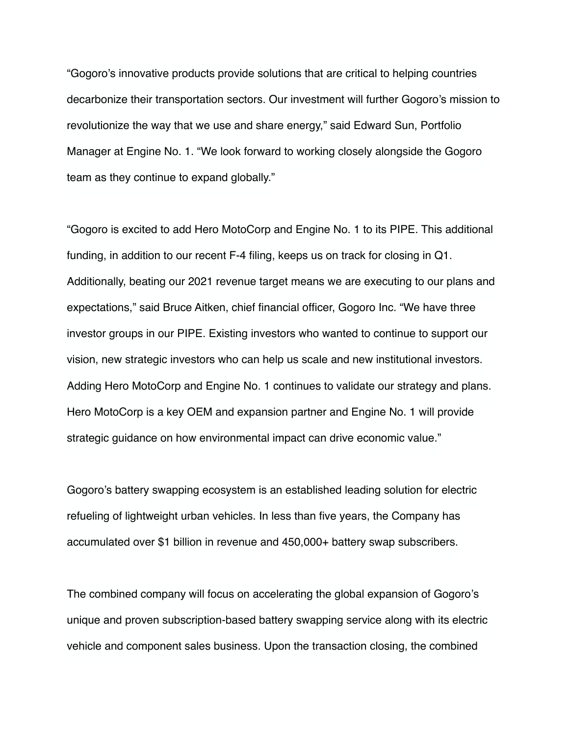"Gogoro's innovative products provide solutions that are critical to helping countries decarbonize their transportation sectors. Our investment will further Gogoro's mission to revolutionize the way that we use and share energy," said Edward Sun, Portfolio Manager at Engine No. 1. "We look forward to working closely alongside the Gogoro team as they continue to expand globally."

"Gogoro is excited to add Hero MotoCorp and Engine No. 1 to its PIPE. This additional funding, in addition to our recent F-4 filing, keeps us on track for closing in Q1. Additionally, beating our 2021 revenue target means we are executing to our plans and expectations," said Bruce Aitken, chief financial officer, Gogoro Inc. "We have three investor groups in our PIPE. Existing investors who wanted to continue to support our vision, new strategic investors who can help us scale and new institutional investors. Adding Hero MotoCorp and Engine No. 1 continues to validate our strategy and plans. Hero MotoCorp is a key OEM and expansion partner and Engine No. 1 will provide strategic guidance on how environmental impact can drive economic value."

Gogoro's battery swapping ecosystem is an established leading solution for electric refueling of lightweight urban vehicles. In less than five years, the Company has accumulated over \$1 billion in revenue and 450,000+ battery swap subscribers.

The combined company will focus on accelerating the global expansion of Gogoro's unique and proven subscription-based battery swapping service along with its electric vehicle and component sales business. Upon the transaction closing, the combined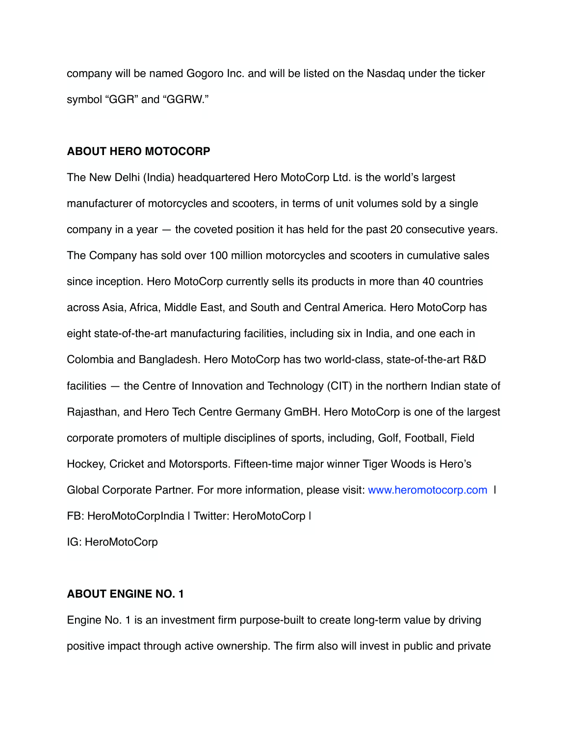company will be named Gogoro Inc. and will be listed on the Nasdaq under the ticker symbol "GGR" and "GGRW."

## **ABOUT HERO MOTOCORP**

The New Delhi (India) headquartered Hero MotoCorp Ltd. is the world's largest manufacturer of motorcycles and scooters, in terms of unit volumes sold by a single company in a year — the coveted position it has held for the past 20 consecutive years. The Company has sold over 100 million motorcycles and scooters in cumulative sales since inception. Hero MotoCorp currently sells its products in more than 40 countries across Asia, Africa, Middle East, and South and Central America. Hero MotoCorp has eight state-of-the-art manufacturing facilities, including six in India, and one each in Colombia and Bangladesh. Hero MotoCorp has two world-class, state-of-the-art R&D facilities — the Centre of Innovation and Technology (CIT) in the northern Indian state of Rajasthan, and Hero Tech Centre Germany GmBH. Hero MotoCorp is one of the largest corporate promoters of multiple disciplines of sports, including, Golf, Football, Field Hockey, Cricket and Motorsports. Fifteen-time major winner Tiger Woods is Hero's Global Corporate Partner. For more information, please visit: [www.heromotocorp.com](http://www.heromotocorp.com) | FB: HeroMotoCorpIndia | Twitter: HeroMotoCorp |

IG: HeroMotoCorp

# **ABOUT ENGINE NO. 1**

Engine No. 1 is an investment firm purpose-built to create long-term value by driving positive impact through active ownership. The firm also will invest in public and private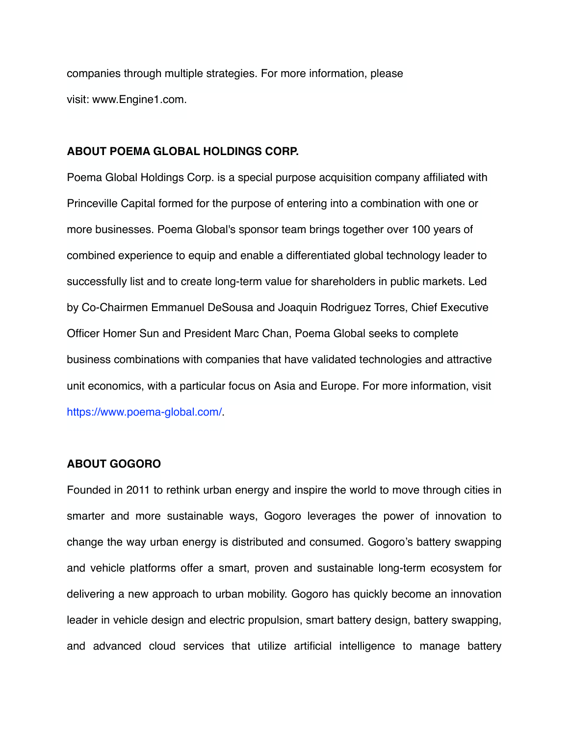companies through multiple strategies. For more information, please visit: [www.Engine1.com](https://cts.businesswire.com/ct/CT?id=smartlink&url=http%25253A%25252F%25252Fwww.Engine1.com&esheet=52417633&newsitemid=20210426005523&lan=en-US&anchor=www.Engine1.com&index=5&md5=ed1e2eebf09ab319eeb34791cbe7049c).

## **ABOUT POEMA GLOBAL HOLDINGS CORP.**

Poema Global Holdings Corp. is a special purpose acquisition company affiliated with Princeville Capital formed for the purpose of entering into a combination with one or more businesses. Poema Global's sponsor team brings together over 100 years of combined experience to equip and enable a differentiated global technology leader to successfully list and to create long-term value for shareholders in public markets. Led by Co-Chairmen Emmanuel DeSousa and Joaquin Rodriguez Torres, Chief Executive Officer Homer Sun and President Marc Chan, Poema Global seeks to complete business combinations with companies that have validated technologies and attractive unit economics, with a particular focus on Asia and Europe. For more information, visit [https://www.poema-global.com/.](https://www.poema-global.com/)

## **ABOUT GOGORO**

Founded in 2011 to rethink urban energy and inspire the world to move through cities in smarter and more sustainable ways, Gogoro leverages the power of innovation to change the way urban energy is distributed and consumed. Gogoro's battery swapping and vehicle platforms offer a smart, proven and sustainable long-term ecosystem for delivering a new approach to urban mobility. Gogoro has quickly become an innovation leader in vehicle design and electric propulsion, smart battery design, battery swapping, and advanced cloud services that utilize artificial intelligence to manage battery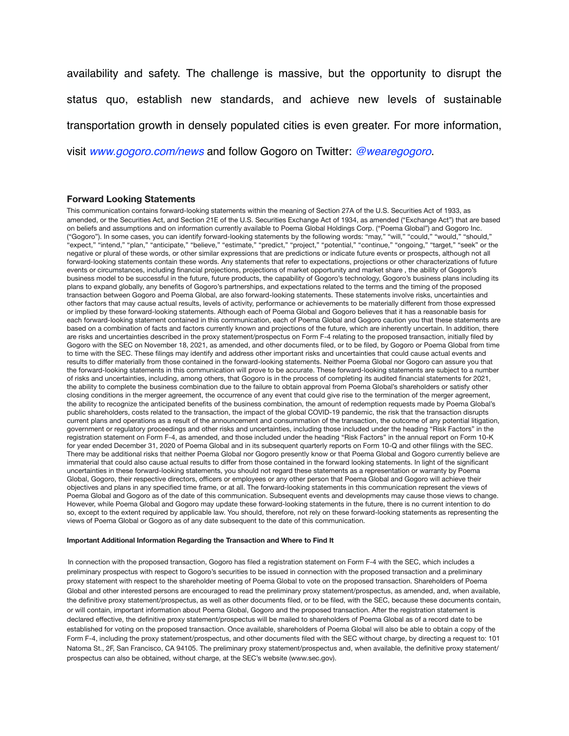availability and safety. The challenge is massive, but the opportunity to disrupt the status quo, establish new standards, and achieve new levels of sustainable transportation growth in densely populated cities is even greater. For more information, visit *[www.gogoro.com/news](https://www.gogoro.com/news)* and follow Gogoro on Twitter: *@wearegogoro*.

#### **Forward Looking Statements**

This communication contains forward-looking statements within the meaning of Section 27A of the U.S. Securities Act of 1933, as amended, or the Securities Act, and Section 21E of the U.S. Securities Exchange Act of 1934, as amended ("Exchange Act") that are based on beliefs and assumptions and on information currently available to Poema Global Holdings Corp. ("Poema Global") and Gogoro Inc. ("Gogoro"). In some cases, you can identify forward-looking statements by the following words: "may," "will," "could," "would," "should," "expect," "intend," "plan," "anticipate," "believe," "estimate," "predict," "project," "potential," "continue," "ongoing," "target," "seek" or the negative or plural of these words, or other similar expressions that are predictions or indicate future events or prospects, although not all forward-looking statements contain these words. Any statements that refer to expectations, projections or other characterizations of future events or circumstances, including financial projections, projections of market opportunity and market share , the ability of Gogoro's business model to be successful in the future, future products, the capability of Gogoro's technology, Gogoro's business plans including its plans to expand globally, any benefits of Gogoro's partnerships, and expectations related to the terms and the timing of the proposed transaction between Gogoro and Poema Global, are also forward-looking statements. These statements involve risks, uncertainties and other factors that may cause actual results, levels of activity, performance or achievements to be materially different from those expressed or implied by these forward-looking statements. Although each of Poema Global and Gogoro believes that it has a reasonable basis for each forward-looking statement contained in this communication, each of Poema Global and Gogoro caution you that these statements are based on a combination of facts and factors currently known and projections of the future, which are inherently uncertain. In addition, there are risks and uncertainties described in the proxy statement/prospectus on Form F-4 relating to the proposed transaction, initially filed by Gogoro with the SEC on November 18, 2021, as amended, and other documents filed, or to be filed, by Gogoro or Poema Global from time to time with the SEC. These filings may identify and address other important risks and uncertainties that could cause actual events and results to differ materially from those contained in the forward-looking statements. Neither Poema Global nor Gogoro can assure you that the forward-looking statements in this communication will prove to be accurate. These forward-looking statements are subject to a number of risks and uncertainties, including, among others, that Gogoro is in the process of completing its audited financial statements for 2021, the ability to complete the business combination due to the failure to obtain approval from Poema Global's shareholders or satisfy other closing conditions in the merger agreement, the occurrence of any event that could give rise to the termination of the merger agreement, the ability to recognize the anticipated benefits of the business combination, the amount of redemption requests made by Poema Global's public shareholders, costs related to the transaction, the impact of the global COVID-19 pandemic, the risk that the transaction disrupts current plans and operations as a result of the announcement and consummation of the transaction, the outcome of any potential litigation, government or regulatory proceedings and other risks and uncertainties, including those included under the heading "Risk Factors" in the registration statement on Form F-4, as amended, and those included under the heading "Risk Factors" in the annual report on Form 10-K for year ended December 31, 2020 of Poema Global and in its subsequent quarterly reports on Form 10-Q and other filings with the SEC. There may be additional risks that neither Poema Global nor Gogoro presently know or that Poema Global and Gogoro currently believe are immaterial that could also cause actual results to differ from those contained in the forward looking statements. In light of the significant uncertainties in these forward-looking statements, you should not regard these statements as a representation or warranty by Poema Global, Gogoro, their respective directors, officers or employees or any other person that Poema Global and Gogoro will achieve their objectives and plans in any specified time frame, or at all. The forward-looking statements in this communication represent the views of Poema Global and Gogoro as of the date of this communication. Subsequent events and developments may cause those views to change. However, while Poema Global and Gogoro may update these forward-looking statements in the future, there is no current intention to do so, except to the extent required by applicable law. You should, therefore, not rely on these forward-looking statements as representing the views of Poema Global or Gogoro as of any date subsequent to the date of this communication.

#### **Important Additional Information Regarding the Transaction and Where to Find It**

In connection with the proposed transaction, Gogoro has filed a registration statement on Form F-4 with the SEC, which includes a preliminary prospectus with respect to Gogoro's securities to be issued in connection with the proposed transaction and a preliminary proxy statement with respect to the shareholder meeting of Poema Global to vote on the proposed transaction. Shareholders of Poema Global and other interested persons are encouraged to read the preliminary proxy statement/prospectus, as amended, and, when available, the definitive proxy statement/prospectus, as well as other documents filed, or to be filed, with the SEC, because these documents contain, or will contain, important information about Poema Global, Gogoro and the proposed transaction. After the registration statement is declared effective, the definitive proxy statement/prospectus will be mailed to shareholders of Poema Global as of a record date to be established for voting on the proposed transaction. Once available, shareholders of Poema Global will also be able to obtain a copy of the Form F-4, including the proxy statement/prospectus, and other documents filed with the SEC without charge, by directing a request to: 101 Natoma St., 2F, San Francisco, CA 94105. The preliminary proxy statement/prospectus and, when available, the definitive proxy statement/ prospectus can also be obtained, without charge, at the SEC's website (www.sec.gov).